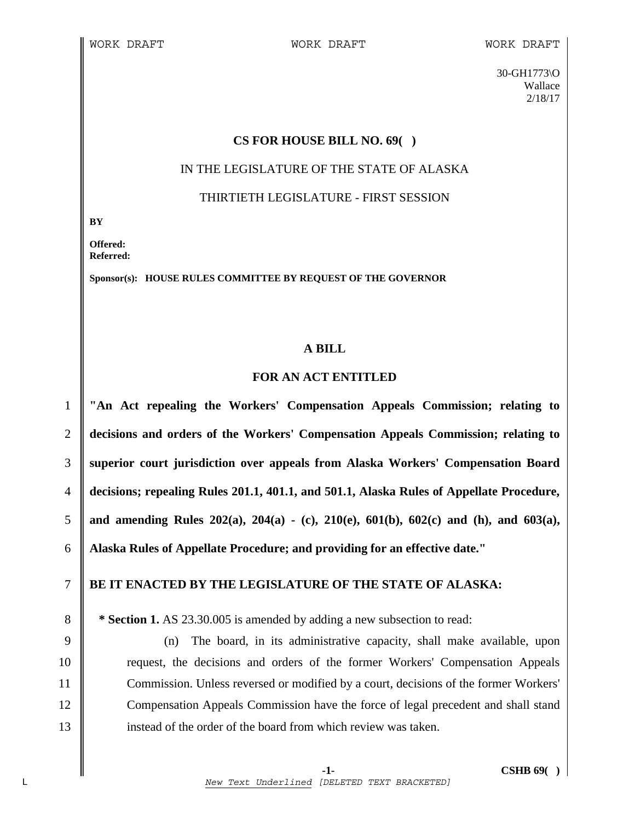30-GH1773\O Wallace 2/18/17

# **CS FOR HOUSE BILL NO. 69( )**

### IN THE LEGISLATURE OF THE STATE OF ALASKA

### THIRTIETH LEGISLATURE - FIRST SESSION

**BY** 

**Offered: Referred:** 

**Sponsor(s): HOUSE RULES COMMITTEE BY REQUEST OF THE GOVERNOR** 

# **A BILL**

#### **FOR AN ACT ENTITLED**

**"An Act repealing the Workers' Compensation Appeals Commission; relating to decisions and orders of the Workers' Compensation Appeals Commission; relating to superior court jurisdiction over appeals from Alaska Workers' Compensation Board decisions; repealing Rules 201.1, 401.1, and 501.1, Alaska Rules of Appellate Procedure, and amending Rules 202(a), 204(a) - (c), 210(e), 601(b), 602(c) and (h), and 603(a), Alaska Rules of Appellate Procedure; and providing for an effective date."** 

# 7 **BE IT ENACTED BY THE LEGISLATURE OF THE STATE OF ALASKA:**

8 **\* Section 1.** AS 23.30.005 is amended by adding a new subsection to read:

9 (n) The board, in its administrative capacity, shall make available, upon 10 request, the decisions and orders of the former Workers' Compensation Appeals 11 Commission. Unless reversed or modified by a court, decisions of the former Workers' 12 Compensation Appeals Commission have the force of legal precedent and shall stand 13 instead of the order of the board from which review was taken.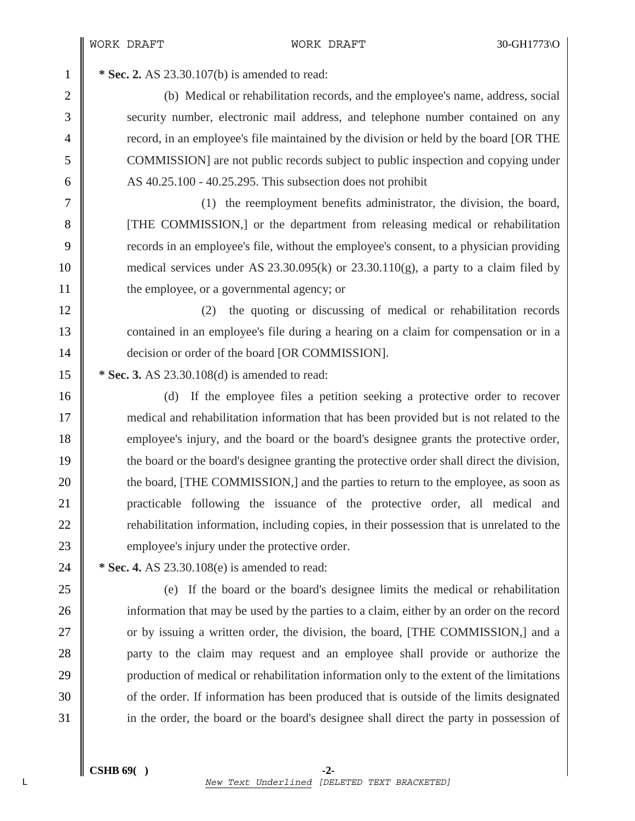1 **\* Sec. 2.** AS 23.30.107(b) is amended to read:

2 (b) Medical or rehabilitation records, and the employee's name, address, social 3 Security number, electronic mail address, and telephone number contained on any 4 record, in an employee's file maintained by the division or held by the board [OR THE 5 COMMISSION] are not public records subject to public inspection and copying under 6  $\parallel$  AS 40.25.100 - 40.25.295. This subsection does not prohibit

7 (1) the reemployment benefits administrator, the division, the board, 8 [THE COMMISSION,] or the department from releasing medical or rehabilitation 9 records in an employee's file, without the employee's consent, to a physician providing 10 medical services under AS 23.30.095(k) or 23.30.110(g), a party to a claim filed by 11 **the employee, or a governmental agency; or** 

12 (2) the quoting or discussing of medical or rehabilitation records 13 contained in an employee's file during a hearing on a claim for compensation or in a 14 **decision or order of the board [OR COMMISSION]**.

15 **\*** Sec. 3. AS 23.30.108(d) is amended to read:

16 (d) If the employee files a petition seeking a protective order to recover 17 medical and rehabilitation information that has been provided but is not related to the 18 employee's injury, and the board or the board's designee grants the protective order, 19 the board or the board's designee granting the protective order shall direct the division, 20 the board, [THE COMMISSION,] and the parties to return to the employee, as soon as 21 practicable following the issuance of the protective order, all medical and 22 **||** rehabilitation information, including copies, in their possession that is unrelated to the 23 employee's injury under the protective order.

24 **\*** Sec. 4. AS 23.30.108(e) is amended to read:

25 (e) If the board or the board's designee limits the medical or rehabilitation 26 information that may be used by the parties to a claim, either by an order on the record 27 or by issuing a written order, the division, the board, [THE COMMISSION,] and a 28 **party to the claim may request and an employee shall provide or authorize the** 29 production of medical or rehabilitation information only to the extent of the limitations 30 of the order. If information has been produced that is outside of the limits designated 31 in the order, the board or the board's designee shall direct the party in possession of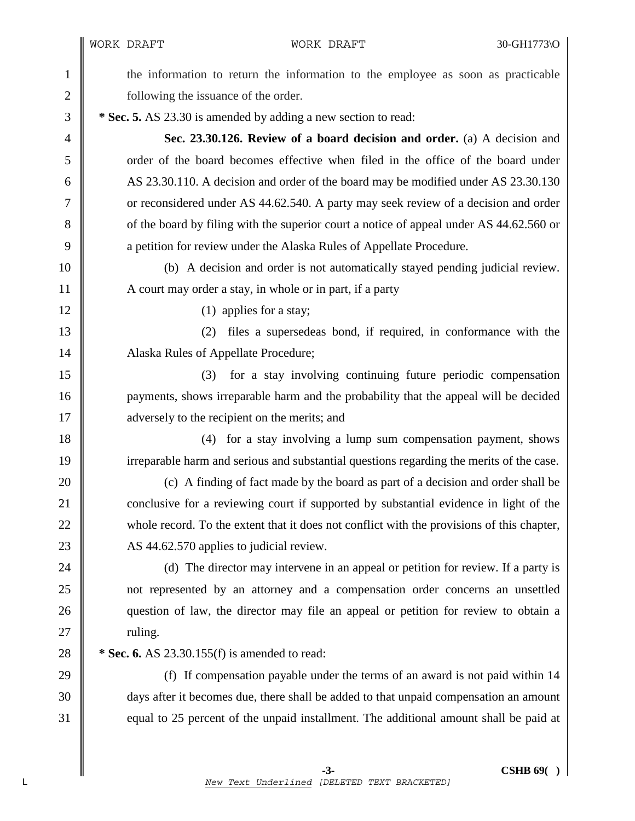WORK DRAFT 30-GH1773\O

1 the information to return the information to the employee as soon as practicable 2 **following the issuance of the order.** 3 **\* Sec. 5.** AS 23.30 is amended by adding a new section to read: 4 **Sec. 23.30.126. Review of a board decision and order.** (a) A decision and 5 order of the board becomes effective when filed in the office of the board under 6 AS 23.30.110. A decision and order of the board may be modified under AS 23.30.130 7 Considered under AS 44.62.540. A party may seek review of a decision and order 8 of the board by filing with the superior court a notice of appeal under AS 44.62.560 or 9 a petition for review under the Alaska Rules of Appellate Procedure. 10 (b) A decision and order is not automatically stayed pending judicial review. 11 A court may order a stay, in whole or in part, if a party  $12 \parallel$  (1) applies for a stay; 13 (2) files a supersedeas bond, if required, in conformance with the 14 | Alaska Rules of Appellate Procedure; 15 (3) for a stay involving continuing future periodic compensation 16 **payments**, shows irreparable harm and the probability that the appeal will be decided 17 **a**dversely to the recipient on the merits; and 18 (4) for a stay involving a lump sum compensation payment, shows 19 irreparable harm and serious and substantial questions regarding the merits of the case. 20 (c) A finding of fact made by the board as part of a decision and order shall be 21 conclusive for a reviewing court if supported by substantial evidence in light of the 22 whole record. To the extent that it does not conflict with the provisions of this chapter, 23 AS 44.62.570 applies to judicial review. 24 (d) The director may intervene in an appeal or petition for review. If a party is 25 not represented by an attorney and a compensation order concerns an unsettled 26 question of law, the director may file an appeal or petition for review to obtain a  $27$   $\parallel$  ruling. 28 **\*** Sec. 6. AS 23.30.155(f) is amended to read: 29  $\parallel$  (f) If compensation payable under the terms of an award is not paid within 14 30 days after it becomes due, there shall be added to that unpaid compensation an amount 31 equal to 25 percent of the unpaid installment. The additional amount shall be paid at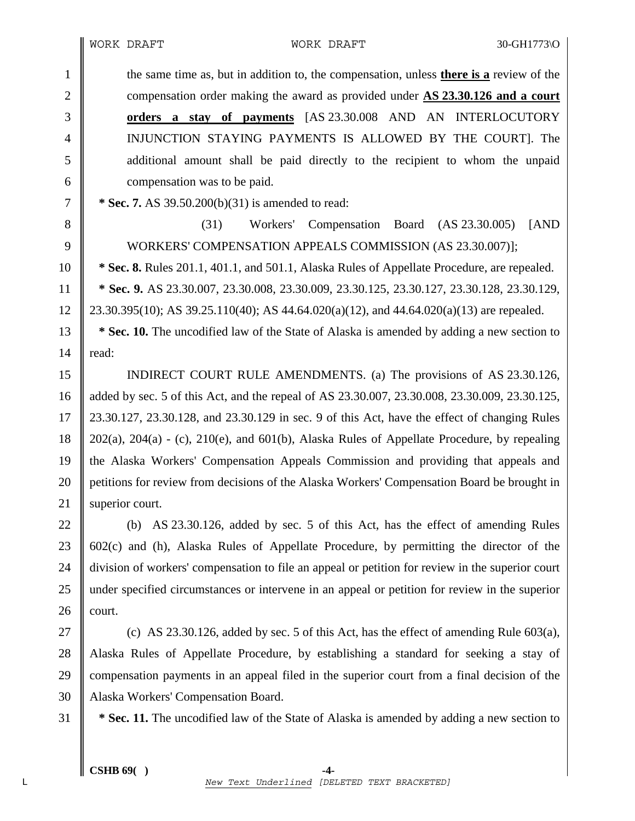1 the same time as, but in addition to, the compensation, unless **there is a** review of the 2 compensation order making the award as provided under **AS 23.30.126 and a court** 3 **orders a stay of payments** [AS 23.30.008 AND AN INTERLOCUTORY 4 INJUNCTION STAYING PAYMENTS IS ALLOWED BY THE COURT]. The 5 additional amount shall be paid directly to the recipient to whom the unpaid 6 compensation was to be paid.

7 **\* Sec. 7.** AS 39.50.200(b)(31) is amended to read:

8 (31) Workers' Compensation Board (AS 23.30.005) [AND 9 WORKERS' COMPENSATION APPEALS COMMISSION (AS 23.30.007)];

10 **\* Sec. 8.** Rules 201.1, 401.1, and 501.1, Alaska Rules of Appellate Procedure, are repealed. 11 **\* Sec. 9.** AS 23.30.007, 23.30.008, 23.30.009, 23.30.125, 23.30.127, 23.30.128, 23.30.129, 12  $\parallel$  23.30.395(10); AS 39.25.110(40); AS 44.64.020(a)(12), and 44.64.020(a)(13) are repealed.

13 **\* Sec. 10.** The uncodified law of the State of Alaska is amended by adding a new section to 14  $\parallel$  read:

15 | INDIRECT COURT RULE AMENDMENTS. (a) The provisions of AS 23.30.126, 16 added by sec. 5 of this Act, and the repeal of AS 23.30.007, 23.30.008, 23.30.009, 23.30.125, 17 23.30.127, 23.30.128, and 23.30.129 in sec. 9 of this Act, have the effect of changing Rules 18 202(a), 204(a) - (c), 210(e), and 601(b), Alaska Rules of Appellate Procedure, by repealing 19 the Alaska Workers' Compensation Appeals Commission and providing that appeals and 20 **petitions for review from decisions of the Alaska Workers' Compensation Board be brought in** 21 | superior court.

22 (b) AS 23.30.126, added by sec. 5 of this Act, has the effect of amending Rules 23  $\parallel$  602(c) and (h), Alaska Rules of Appellate Procedure, by permitting the director of the 24 division of workers' compensation to file an appeal or petition for review in the superior court 25 under specified circumstances or intervene in an appeal or petition for review in the superior  $26$  court.

27  $\parallel$  (c) AS 23.30.126, added by sec. 5 of this Act, has the effect of amending Rule 603(a), 28 Alaska Rules of Appellate Procedure, by establishing a standard for seeking a stay of 29 compensation payments in an appeal filed in the superior court from a final decision of the 30 Alaska Workers' Compensation Board.

31 **\* Sec. 11.** The uncodified law of the State of Alaska is amended by adding a new section to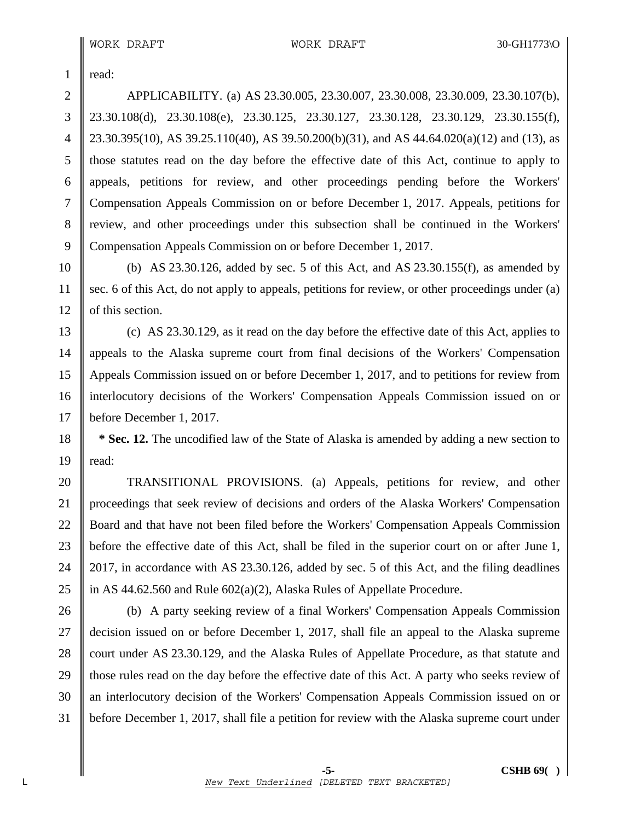$1$  read:

2 APPLICABILITY. (a) AS 23.30.005, 23.30.007, 23.30.008, 23.30.009, 23.30.107(b), 3 23.30.108(d), 23.30.108(e), 23.30.125, 23.30.127, 23.30.128, 23.30.129, 23.30.155(f), 4  $\parallel$  23.30.395(10), AS 39.25.110(40), AS 39.50.200(b)(31), and AS 44.64.020(a)(12) and (13), as 5 those statutes read on the day before the effective date of this Act, continue to apply to 6 appeals, petitions for review, and other proceedings pending before the Workers' 7 Compensation Appeals Commission on or before December 1, 2017. Appeals, petitions for 8 review, and other proceedings under this subsection shall be continued in the Workers' 9 Compensation Appeals Commission on or before December 1, 2017.

10 (b) AS 23.30.126, added by sec. 5 of this Act, and AS 23.30.155(f), as amended by 11 sec. 6 of this Act, do not apply to appeals, petitions for review, or other proceedings under (a) 12 | of this section.

13 (c) AS 23.30.129, as it read on the day before the effective date of this Act, applies to 14 appeals to the Alaska supreme court from final decisions of the Workers' Compensation 15 Appeals Commission issued on or before December 1, 2017, and to petitions for review from 16 | interlocutory decisions of the Workers' Compensation Appeals Commission issued on or 17 before December 1, 2017.

18 **\* Sec. 12.** The uncodified law of the State of Alaska is amended by adding a new section to 19  $\parallel$  read:

20 TRANSITIONAL PROVISIONS. (a) Appeals, petitions for review, and other 21 proceedings that seek review of decisions and orders of the Alaska Workers' Compensation 22 Board and that have not been filed before the Workers' Compensation Appeals Commission 23 before the effective date of this Act, shall be filed in the superior court on or after June 1, 24 2017, in accordance with AS 23.30.126, added by sec. 5 of this Act, and the filing deadlines 25 | in AS 44.62.560 and Rule  $602(a)(2)$ , Alaska Rules of Appellate Procedure.

26 (b) A party seeking review of a final Workers' Compensation Appeals Commission 27 decision issued on or before December 1, 2017, shall file an appeal to the Alaska supreme 28 court under AS 23.30.129, and the Alaska Rules of Appellate Procedure, as that statute and 29 those rules read on the day before the effective date of this Act. A party who seeks review of 30 || an interlocutory decision of the Workers' Compensation Appeals Commission issued on or 31 before December 1, 2017, shall file a petition for review with the Alaska supreme court under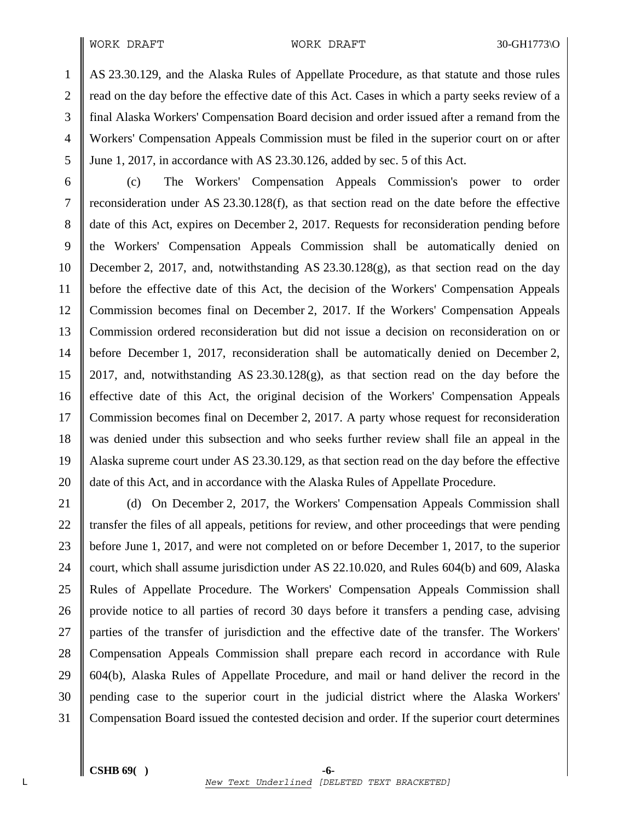#### WORK DRAFT WORK DRAFT 30-GH1773\O

1 AS 23.30.129, and the Alaska Rules of Appellate Procedure, as that statute and those rules 2 fread on the day before the effective date of this Act. Cases in which a party seeks review of a 3 final Alaska Workers' Compensation Board decision and order issued after a remand from the 4 Workers' Compensation Appeals Commission must be filed in the superior court on or after 5 June 1, 2017, in accordance with AS 23.30.126, added by sec. 5 of this Act.

6 (c) The Workers' Compensation Appeals Commission's power to order 7 reconsideration under AS 23.30.128(f), as that section read on the date before the effective 8 date of this Act, expires on December 2, 2017. Requests for reconsideration pending before 9 the Workers' Compensation Appeals Commission shall be automatically denied on 10 December 2, 2017, and, notwithstanding AS 23.30.128(g), as that section read on the day 11 before the effective date of this Act, the decision of the Workers' Compensation Appeals 12 Commission becomes final on December 2, 2017. If the Workers' Compensation Appeals 13 Commission ordered reconsideration but did not issue a decision on reconsideration on or 14 before December 1, 2017, reconsideration shall be automatically denied on December 2, 15 2017, and, notwithstanding AS 23.30.128(g), as that section read on the day before the 16 effective date of this Act, the original decision of the Workers' Compensation Appeals 17 Commission becomes final on December 2, 2017. A party whose request for reconsideration 18 was denied under this subsection and who seeks further review shall file an appeal in the 19 Alaska supreme court under AS 23.30.129, as that section read on the day before the effective 20 date of this Act, and in accordance with the Alaska Rules of Appellate Procedure.

21 (d) On December 2, 2017, the Workers' Compensation Appeals Commission shall 22 The transfer the files of all appeals, petitions for review, and other proceedings that were pending 23 before June 1, 2017, and were not completed on or before December 1, 2017, to the superior 24 court, which shall assume jurisdiction under AS 22.10.020, and Rules  $604(b)$  and  $609$ , Alaska 25 Rules of Appellate Procedure. The Workers' Compensation Appeals Commission shall 26 provide notice to all parties of record 30 days before it transfers a pending case, advising 27 parties of the transfer of jurisdiction and the effective date of the transfer. The Workers' 28 Compensation Appeals Commission shall prepare each record in accordance with Rule 29 604(b), Alaska Rules of Appellate Procedure, and mail or hand deliver the record in the 30 pending case to the superior court in the judicial district where the Alaska Workers' 31 Compensation Board issued the contested decision and order. If the superior court determines